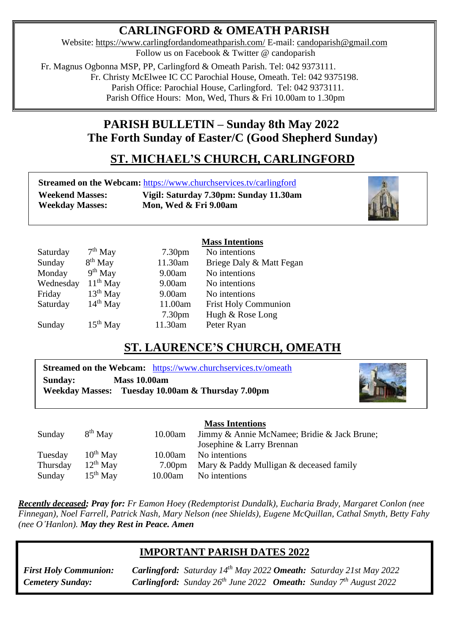# **CARLINGFORD & OMEATH PARISH**

Website:<https://www.carlingfordandomeathparish.com/> E-mail: [candoparish@gmail.com](mailto:candoparish@gmail.com) Follow us on Facebook & Twitter @ candoparish

 Fr. Magnus Ogbonna MSP, PP, Carlingford & Omeath Parish. Tel: 042 9373111. Fr. Christy McElwee IC CC Parochial House, Omeath. Tel: 042 9375198. Parish Office: Parochial House, Carlingford. Tel: 042 9373111. Parish Office Hours: Mon, Wed, Thurs & Fri 10.00am to 1.30pm

# **PARISH BULLETIN – Sunday 8th May 2022 The Forth Sunday of Easter/C (Good Shepherd Sunday)**

# **ST. MICHAEL'S CHURCH, CARLINGFORD**

|                        | <b>Streamed on the Webcam: https://www.churchservices.tv/carlingford</b> |
|------------------------|--------------------------------------------------------------------------|
| <b>Weekend Masses:</b> | Vigil: Saturday 7.30pm: Sunday 11.30am                                   |
| <b>Weekday Masses:</b> | Mon, Wed & Fri 9.00am                                                    |



|           |                     |                    | <b>Mass Intentions</b>      |
|-----------|---------------------|--------------------|-----------------------------|
| Saturday  | $7th$ May           | 7.30 <sub>pm</sub> | No intentions               |
| Sunday    | 8 <sup>th</sup> May | 11.30am            | Briege Daly & Matt Fegan    |
| Monday    | $9th$ May           | 9.00am             | No intentions               |
| Wednesday | $11th$ May          | 9.00am             | No intentions               |
| Friday    | $13th$ May          | 9.00am             | No intentions               |
| Saturday  | $14th$ May          | 11.00am            | <b>Frist Holy Communion</b> |
|           |                     | 7.30 <sub>pm</sub> | Hugh & Rose Long            |
| Sunday    | $15th$ May          | 11.30am            | Peter Ryan                  |
|           |                     |                    |                             |

## **ST. LAURENCE'S CHURCH, OMEATH**

**Streamed on the Webcam:** <https://www.churchservices.tv/omeath> **Sunday: Mass 10.00am Weekday Masses: Tuesday 10.00am & Thursday 7.00pm**



|          |               |         | <b>Mass Intentions</b>                      |
|----------|---------------|---------|---------------------------------------------|
| Sunday   | $8th$ May     | 10.00am | Jimmy & Annie McNamee; Bridie & Jack Brune; |
|          |               |         | Josephine & Larry Brennan                   |
| Tuesday  | $10^{th}$ May | 10.00am | No intentions                               |
| Thursday | $12^{th}$ May | 7.00pm  | Mary & Paddy Mulligan & deceased family     |
| Sunday   | $15th$ May    | 10.00am | No intentions                               |

*Recently deceased; Pray for: Fr Eamon Hoey (Redemptorist Dundalk), Eucharia Brady, Margaret Conlon (nee*   *Finnegan), Noel Farrell, Patrick Nash, Mary Nelson (nee Shields), Eugene McQuillan, Cathal Smyth, Betty Fahy (nee O'Hanlon). May they Rest in Peace. Amen* 

### **IMPORTANT PARISH DATES 2022**

*Cemetery Sunday:* 

*Cemetery Sunday:**Carlingford:* Sunday 26<sup>th</sup> June 2022 *Omeath:* Sunday 7<sup>th</sup> August 2022 *First Holy Communion: Carlingford: Saturday 14 th May 2022 Omeath: Saturday 21st May 2022*

#### **Mass Intentions**